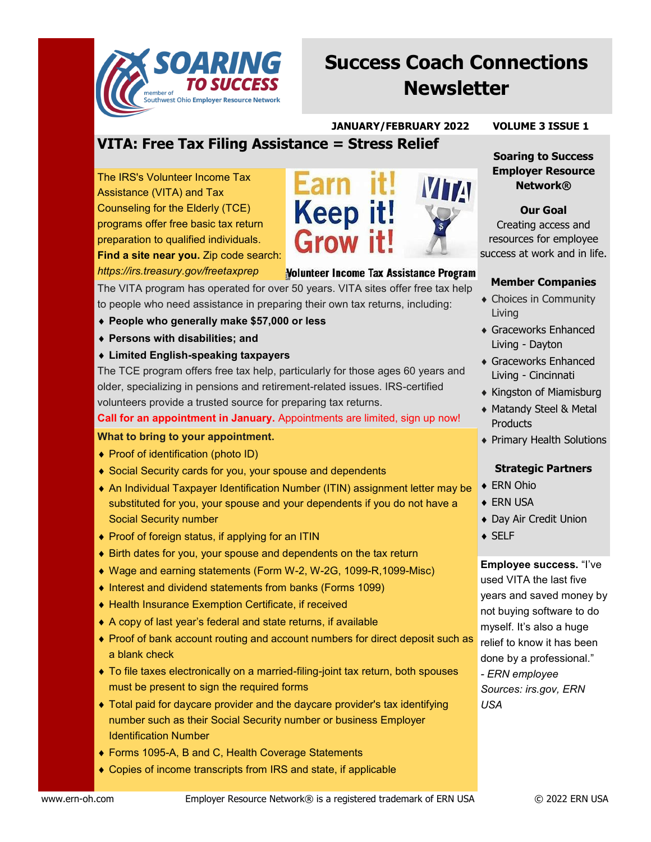

# **Success Coach Connections Newsletter**

#### **JANUARY/FEBRUARY 2022 VOLUME 3 ISSUE 1**

**Soaring to Success Employer Resource Network®**

**Our Goal** Creating access and resources for employee

# **VITA: Free Tax Filing Assistance = Stress Relief**

The IRS's Volunteer Income Tax Assistance (VITA) and Tax Counseling for the Elderly (TCE) programs offer free basic tax return preparation to qualified individuals. **Find a site near you.** Zip code search: *https://irs.treasury.gov/freetaxprep*



#### Volunteer Income Tax Assistance Program

The VITA program has operated for over 50 years. VITA sites offer free tax help to people who need assistance in preparing their own tax returns, including:

- **People who generally make \$57,000 or less**
- **Persons with disabilities; and**
- **Limited English-speaking taxpayers**

The TCE program offers free tax help, particularly for those ages 60 years and older, specializing in pensions and retirement-related issues. IRS-certified volunteers provide a trusted source for preparing tax returns.

**Call for an appointment in January.** Appointments are limited, sign up now!

### **What to bring to your appointment.**

- ◆ Proof of identification (photo ID)
- ◆ Social Security cards for you, your spouse and dependents
- An Individual Taxpayer Identification Number (ITIN) assignment letter may be substituted for you, your spouse and your dependents if you do not have a Social Security number
- ◆ Proof of foreign status, if applying for an ITIN
- Birth dates for you, your spouse and dependents on the tax return
- Wage and earning statements (Form W-2, W-2G, 1099-R,1099-Misc)
- ♦ Interest and dividend statements from banks (Forms 1099)
- Health Insurance Exemption Certificate, if received
- A copy of last year's federal and state returns, if available
- Proof of bank account routing and account numbers for direct deposit such as a blank check
- To file taxes electronically on a married-filing-joint tax return, both spouses must be present to sign the required forms
- Total paid for daycare provider and the daycare provider's tax identifying number such as their Social Security number or business Employer Identification Number
- ◆ Forms 1095-A, B and C, Health Coverage Statements
- Copies of income transcripts from IRS and state, if applicable



#### **Member Companies**

- Choices in Community Living
- Graceworks Enhanced Living - Dayton
- Graceworks Enhanced Living - Cincinnati
- **Kingston of Miamisburg**
- Matandy Steel & Metal **Products**
- Primary Health Solutions

### **Strategic Partners**

- ◆ ERN Ohio
- ◆ ERN USA
- Day Air Credit Union
- ◆ SELF

**Employee success.** "I've used VITA the last five years and saved money by not buying software to do myself. It's also a huge relief to know it has been done by a professional." *- ERN employee Sources: irs.gov, ERN USA*